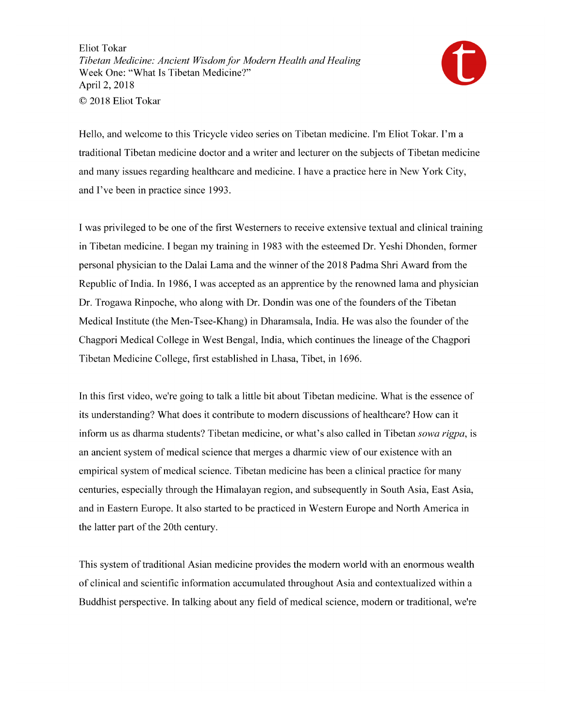

Hello, and welcome to this Tricycle video series on Tibetan medicine. I'm Eliot Tokar. I'm a traditional Tibetan medicine doctor and a writer and lecturer on the subjects of Tibetan medicine and many issues regarding healthcare and medicine. I have a practice here in New York City, and I've been in practice since 1993.

I was privileged to be one of the first Westerners to receive extensive textual and clinical training in Tibetan medicine. I began my training in 1983 with the esteemed Dr. Yeshi Dhonden, former personal physician to the Dalai Lama and the winner of the 2018 Padma Shri Award from the Republic of India. In 1986, I was accepted as an apprentice by the renowned lama and physician Dr. Trogawa Rinpoche, who along with Dr. Dondin was one of the founders of the Tibetan Medical Institute (the Men-Tsee-Khang) in Dharamsala, India. He was also the founder of the Chagpori Medical College in West Bengal, India, which continues the lineage of the Chagpori Tibetan Medicine College, first established in Lhasa, Tibet, in 1696.

In this first video, we're going to talk a little bit about Tibetan medicine. What is the essence of its understanding? What does it contribute to modern discussions of healthcare? How can it inform us as dharma students? Tibetan medicine, or what's also called in Tibetan sowa rigpa, is an ancient system of medical science that merges a dharmic view of our existence with an empirical system of medical science. Tibetan medicine has been a clinical practice for many centuries, especially through the Himalayan region, and subsequently in South Asia, East Asia, and in Eastern Europe. It also started to be practiced in Western Europe and North America in the latter part of the 20th century.

This system of traditional Asian medicine provides the modern world with an enormous wealth of clinical and scientific information accumulated throughout Asia and contextualized within a Buddhist perspective. In talking about any field of medical science, modern or traditional, we're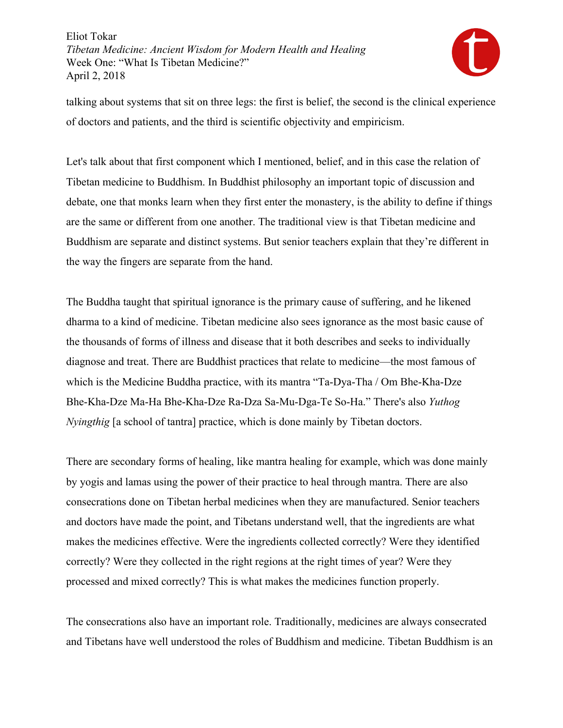

talking about systems that sit on three legs: the first is belief, the second is the clinical experience of doctors and patients, and the third is scientific objectivity and empiricism.

Let's talk about that first component which I mentioned, belief, and in this case the relation of Tibetan medicine to Buddhism. In Buddhist philosophy an important topic of discussion and debate, one that monks learn when they first enter the monastery, is the ability to define if things are the same or different from one another. The traditional view is that Tibetan medicine and Buddhism are separate and distinct systems. But senior teachers explain that they're different in the way the fingers are separate from the hand.

The Buddha taught that spiritual ignorance is the primary cause of suffering, and he likened dharma to a kind of medicine. Tibetan medicine also sees ignorance as the most basic cause of the thousands of forms of illness and disease that it both describes and seeks to individually diagnose and treat. There are Buddhist practices that relate to medicine—the most famous of which is the Medicine Buddha practice, with its mantra "Ta-Dya-Tha / Om Bhe-Kha-Dze Bhe-Kha-Dze Ma-Ha Bhe-Kha-Dze Ra-Dza Sa-Mu-Dga-Te So-Ha." There's also *Yuthog Nyingthig* [a school of tantra] practice, which is done mainly by Tibetan doctors.

There are secondary forms of healing, like mantra healing for example, which was done mainly by yogis and lamas using the power of their practice to heal through mantra. There are also consecrations done on Tibetan herbal medicines when they are manufactured. Senior teachers and doctors have made the point, and Tibetans understand well, that the ingredients are what makes the medicines effective. Were the ingredients collected correctly? Were they identified correctly? Were they collected in the right regions at the right times of year? Were they processed and mixed correctly? This is what makes the medicines function properly.

The consecrations also have an important role. Traditionally, medicines are always consecrated and Tibetans have well understood the roles of Buddhism and medicine. Tibetan Buddhism is an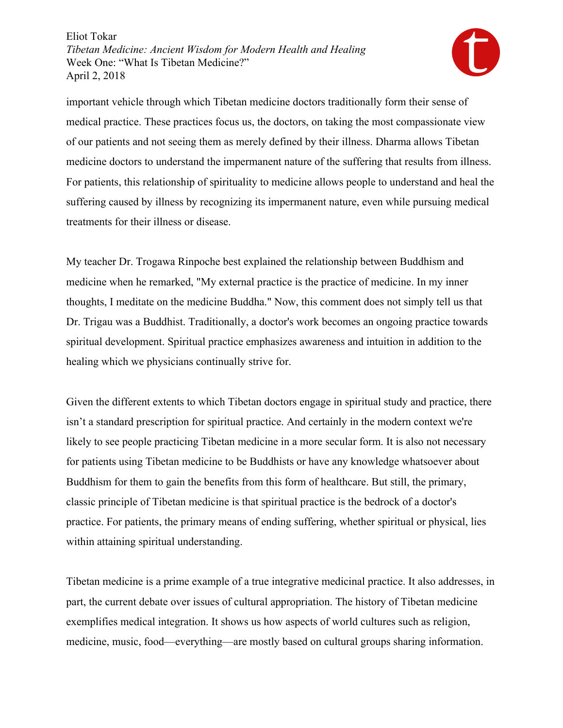

important vehicle through which Tibetan medicine doctors traditionally form their sense of medical practice. These practices focus us, the doctors, on taking the most compassionate view of our patients and not seeing them as merely defined by their illness. Dharma allows Tibetan medicine doctors to understand the impermanent nature of the suffering that results from illness. For patients, this relationship of spirituality to medicine allows people to understand and heal the suffering caused by illness by recognizing its impermanent nature, even while pursuing medical treatments for their illness or disease.

My teacher Dr. Trogawa Rinpoche best explained the relationship between Buddhism and medicine when he remarked, "My external practice is the practice of medicine. In my inner thoughts, I meditate on the medicine Buddha." Now, this comment does not simply tell us that Dr. Trigau was a Buddhist. Traditionally, a doctor's work becomes an ongoing practice towards spiritual development. Spiritual practice emphasizes awareness and intuition in addition to the healing which we physicians continually strive for.

Given the different extents to which Tibetan doctors engage in spiritual study and practice, there isn't a standard prescription for spiritual practice. And certainly in the modern context we're likely to see people practicing Tibetan medicine in a more secular form. It is also not necessary for patients using Tibetan medicine to be Buddhists or have any knowledge whatsoever about Buddhism for them to gain the benefits from this form of healthcare. But still, the primary, classic principle of Tibetan medicine is that spiritual practice is the bedrock of a doctor's practice. For patients, the primary means of ending suffering, whether spiritual or physical, lies within attaining spiritual understanding.

Tibetan medicine is a prime example of a true integrative medicinal practice. It also addresses, in part, the current debate over issues of cultural appropriation. The history of Tibetan medicine exemplifies medical integration. It shows us how aspects of world cultures such as religion, medicine, music, food—everything—are mostly based on cultural groups sharing information.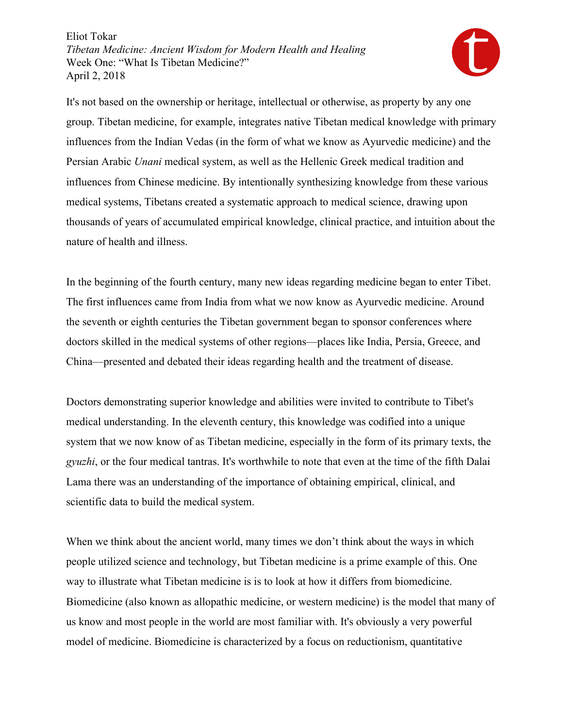

It's not based on the ownership or heritage, intellectual or otherwise, as property by any one group. Tibetan medicine, for example, integrates native Tibetan medical knowledge with primary influences from the Indian Vedas (in the form of what we know as Ayurvedic medicine) and the Persian Arabic *Unani* medical system, as well as the Hellenic Greek medical tradition and influences from Chinese medicine. By intentionally synthesizing knowledge from these various medical systems, Tibetans created a systematic approach to medical science, drawing upon thousands of years of accumulated empirical knowledge, clinical practice, and intuition about the nature of health and illness.

In the beginning of the fourth century, many new ideas regarding medicine began to enter Tibet. The first influences came from India from what we now know as Ayurvedic medicine. Around the seventh or eighth centuries the Tibetan government began to sponsor conferences where doctors skilled in the medical systems of other regions—places like India, Persia, Greece, and China—presented and debated their ideas regarding health and the treatment of disease.

Doctors demonstrating superior knowledge and abilities were invited to contribute to Tibet's medical understanding. In the eleventh century, this knowledge was codified into a unique system that we now know of as Tibetan medicine, especially in the form of its primary texts, the *gyuzhi*, or the four medical tantras. It's worthwhile to note that even at the time of the fifth Dalai Lama there was an understanding of the importance of obtaining empirical, clinical, and scientific data to build the medical system.

When we think about the ancient world, many times we don't think about the ways in which people utilized science and technology, but Tibetan medicine is a prime example of this. One way to illustrate what Tibetan medicine is is to look at how it differs from biomedicine. Biomedicine (also known as allopathic medicine, or western medicine) is the model that many of us know and most people in the world are most familiar with. It's obviously a very powerful model of medicine. Biomedicine is characterized by a focus on reductionism, quantitative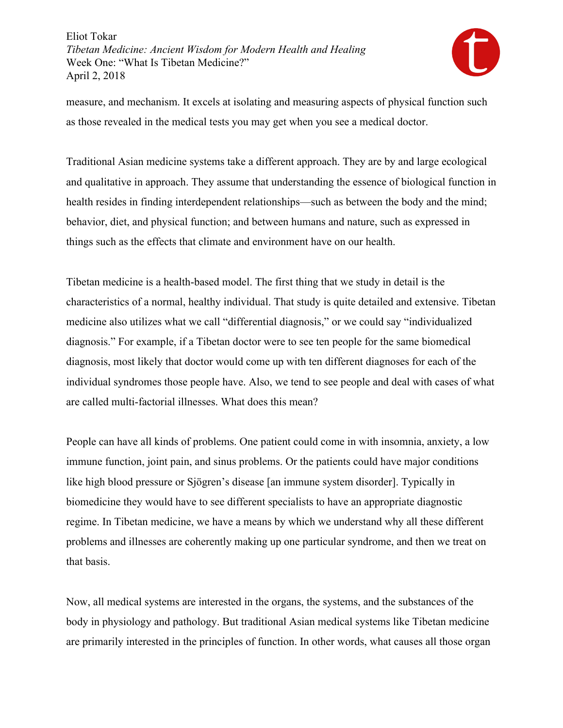

measure, and mechanism. It excels at isolating and measuring aspects of physical function such as those revealed in the medical tests you may get when you see a medical doctor.

Traditional Asian medicine systems take a different approach. They are by and large ecological and qualitative in approach. They assume that understanding the essence of biological function in health resides in finding interdependent relationships—such as between the body and the mind; behavior, diet, and physical function; and between humans and nature, such as expressed in things such as the effects that climate and environment have on our health.

Tibetan medicine is a health-based model. The first thing that we study in detail is the characteristics of a normal, healthy individual. That study is quite detailed and extensive. Tibetan medicine also utilizes what we call "differential diagnosis," or we could say "individualized diagnosis." For example, if a Tibetan doctor were to see ten people for the same biomedical diagnosis, most likely that doctor would come up with ten different diagnoses for each of the individual syndromes those people have. Also, we tend to see people and deal with cases of what are called multi-factorial illnesses. What does this mean?

People can have all kinds of problems. One patient could come in with insomnia, anxiety, a low immune function, joint pain, and sinus problems. Or the patients could have major conditions like high blood pressure or Sjögren's disease [an immune system disorder]. Typically in biomedicine they would have to see different specialists to have an appropriate diagnostic regime. In Tibetan medicine, we have a means by which we understand why all these different problems and illnesses are coherently making up one particular syndrome, and then we treat on that basis.

Now, all medical systems are interested in the organs, the systems, and the substances of the body in physiology and pathology. But traditional Asian medical systems like Tibetan medicine are primarily interested in the principles of function. In other words, what causes all those organ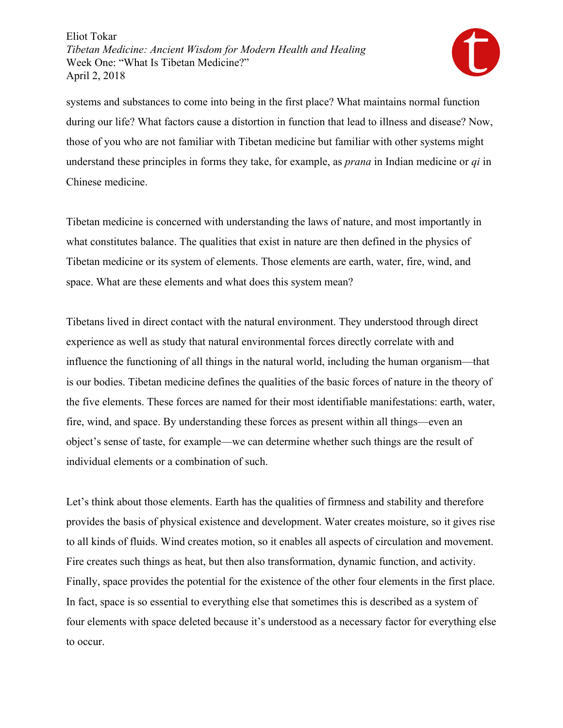

systems and substances to come into being in the first place? What maintains normal function during our life? What factors cause a distortion in function that lead to illness and disease? Now, those of you who are not familiar with Tibetan medicine but familiar with other systems might understand these principles in forms they take, for example, as *prana* in Indian medicine or *qi* in Chinese medicine.

Tibetan medicine is concerned with understanding the laws of nature, and most importantly in what constitutes balance. The qualities that exist in nature are then defined in the physics of Tibetan medicine or its system of elements. Those elements are earth, water, fire, wind, and space. What are these elements and what does this system mean?

Tibetans lived in direct contact with the natural environment. They understood through direct experience as well as study that natural environmental forces directly correlate with and influence the functioning of all things in the natural world, including the human organism—that is our bodies. Tibetan medicine defines the qualities of the basic forces of nature in the theory of the five elements. These forces are named for their most identifiable manifestations: earth, water, fire, wind, and space. By understanding these forces as present within all things—even an object's sense of taste, for example—we can determine whether such things are the result of individual elements or a combination of such.

Let's think about those elements. Earth has the qualities of firmness and stability and therefore provides the basis of physical existence and development. Water creates moisture, so it gives rise to all kinds of fluids. Wind creates motion, so it enables all aspects of circulation and movement. Fire creates such things as heat, but then also transformation, dynamic function, and activity. Finally, space provides the potential for the existence of the other four elements in the first place. In fact, space is so essential to everything else that sometimes this is described as a system of four elements with space deleted because it's understood as a necessary factor for everything else to occur.